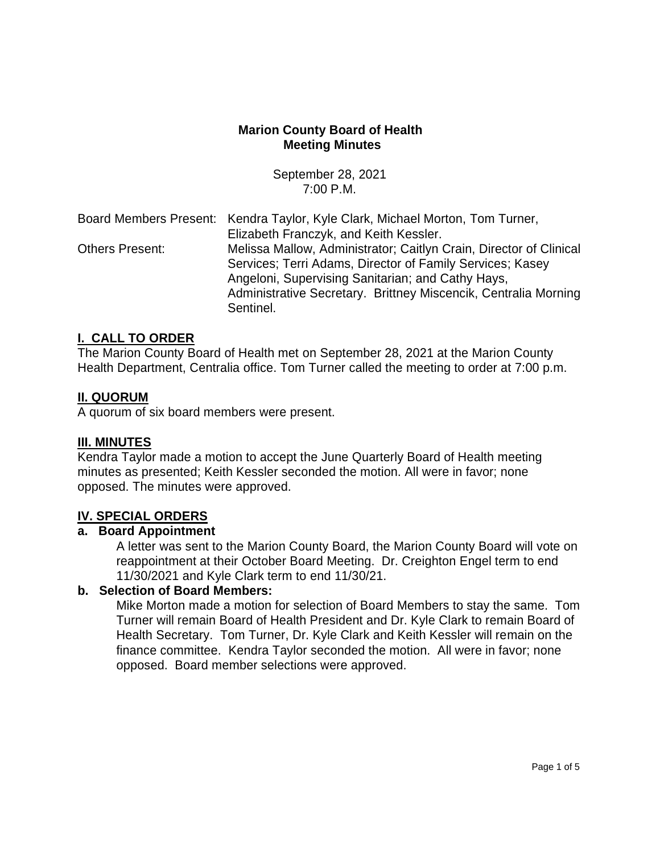## **Marion County Board of Health Meeting Minutes**

September 28, 2021 7:00 P.M.

|                        | Board Members Present: Kendra Taylor, Kyle Clark, Michael Morton, Tom Turner, |
|------------------------|-------------------------------------------------------------------------------|
|                        | Elizabeth Franczyk, and Keith Kessler.                                        |
| <b>Others Present:</b> | Melissa Mallow, Administrator; Caitlyn Crain, Director of Clinical            |
|                        | Services; Terri Adams, Director of Family Services; Kasey                     |
|                        | Angeloni, Supervising Sanitarian; and Cathy Hays,                             |
|                        | Administrative Secretary. Brittney Miscencik, Centralia Morning               |
|                        | Sentinel.                                                                     |

#### **I. CALL TO ORDER**

The Marion County Board of Health met on September 28, 2021 at the Marion County Health Department, Centralia office. Tom Turner called the meeting to order at 7:00 p.m.

#### **II. QUORUM**

A quorum of six board members were present.

#### **III. MINUTES**

Kendra Taylor made a motion to accept the June Quarterly Board of Health meeting minutes as presented; Keith Kessler seconded the motion. All were in favor; none opposed. The minutes were approved.

#### **IV. SPECIAL ORDERS**

## **a. Board Appointment**

A letter was sent to the Marion County Board, the Marion County Board will vote on reappointment at their October Board Meeting. Dr. Creighton Engel term to end 11/30/2021 and Kyle Clark term to end 11/30/21.

## **b. Selection of Board Members:**

Mike Morton made a motion for selection of Board Members to stay the same. Tom Turner will remain Board of Health President and Dr. Kyle Clark to remain Board of Health Secretary. Tom Turner, Dr. Kyle Clark and Keith Kessler will remain on the finance committee. Kendra Taylor seconded the motion. All were in favor; none opposed. Board member selections were approved.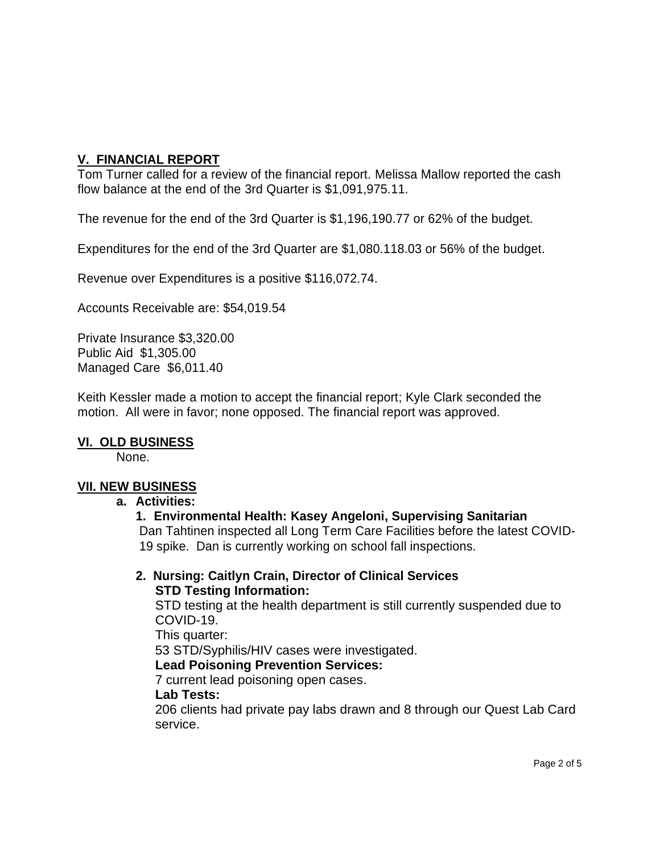# **V. FINANCIAL REPORT**

Tom Turner called for a review of the financial report. Melissa Mallow reported the cash flow balance at the end of the 3rd Quarter is \$1,091,975.11.

The revenue for the end of the 3rd Quarter is \$1,196,190.77 or 62% of the budget.

Expenditures for the end of the 3rd Quarter are \$1,080.118.03 or 56% of the budget.

Revenue over Expenditures is a positive \$116,072.74.

Accounts Receivable are: \$54,019.54

Private Insurance \$3,320.00 Public Aid \$1,305.00 Managed Care \$6,011.40

Keith Kessler made a motion to accept the financial report; Kyle Clark seconded the motion. All were in favor; none opposed. The financial report was approved.

## **VI. OLD BUSINESS**

None.

## **VII. NEW BUSINESS**

#### **a. Activities:**

#### **1. Environmental Health: Kasey Angeloni, Supervising Sanitarian**

Dan Tahtinen inspected all Long Term Care Facilities before the latest COVID-19 spike. Dan is currently working on school fall inspections.

#### **2. Nursing: Caitlyn Crain, Director of Clinical Services STD Testing Information:**

STD testing at the health department is still currently suspended due to COVID-19.

This quarter:

53 STD/Syphilis/HIV cases were investigated.

## **Lead Poisoning Prevention Services:**

7 current lead poisoning open cases.

#### **Lab Tests:**

206 clients had private pay labs drawn and 8 through our Quest Lab Card service.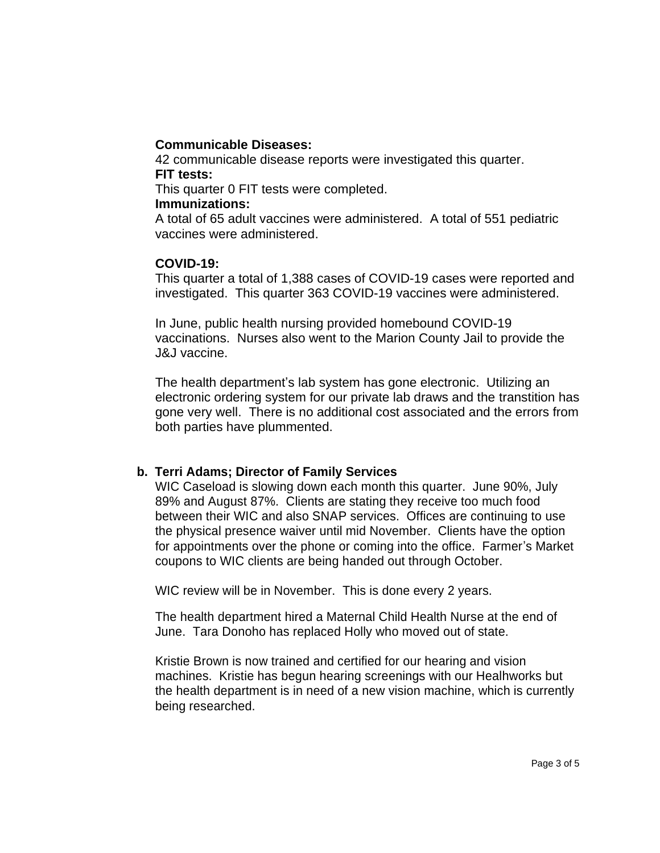#### **Communicable Diseases:**

42 communicable disease reports were investigated this quarter. **FIT tests:**

This quarter 0 FIT tests were completed.

#### **Immunizations:**

A total of 65 adult vaccines were administered. A total of 551 pediatric vaccines were administered.

## **COVID-19:**

This quarter a total of 1,388 cases of COVID-19 cases were reported and investigated. This quarter 363 COVID-19 vaccines were administered.

In June, public health nursing provided homebound COVID-19 vaccinations. Nurses also went to the Marion County Jail to provide the J&J vaccine.

The health department's lab system has gone electronic. Utilizing an electronic ordering system for our private lab draws and the transtition has gone very well. There is no additional cost associated and the errors from both parties have plummented.

## **b. Terri Adams; Director of Family Services**

WIC Caseload is slowing down each month this quarter. June 90%, July 89% and August 87%. Clients are stating they receive too much food between their WIC and also SNAP services. Offices are continuing to use the physical presence waiver until mid November. Clients have the option for appointments over the phone or coming into the office. Farmer's Market coupons to WIC clients are being handed out through October.

WIC review will be in November. This is done every 2 years.

The health department hired a Maternal Child Health Nurse at the end of June. Tara Donoho has replaced Holly who moved out of state.

Kristie Brown is now trained and certified for our hearing and vision machines. Kristie has begun hearing screenings with our Healhworks but the health department is in need of a new vision machine, which is currently being researched.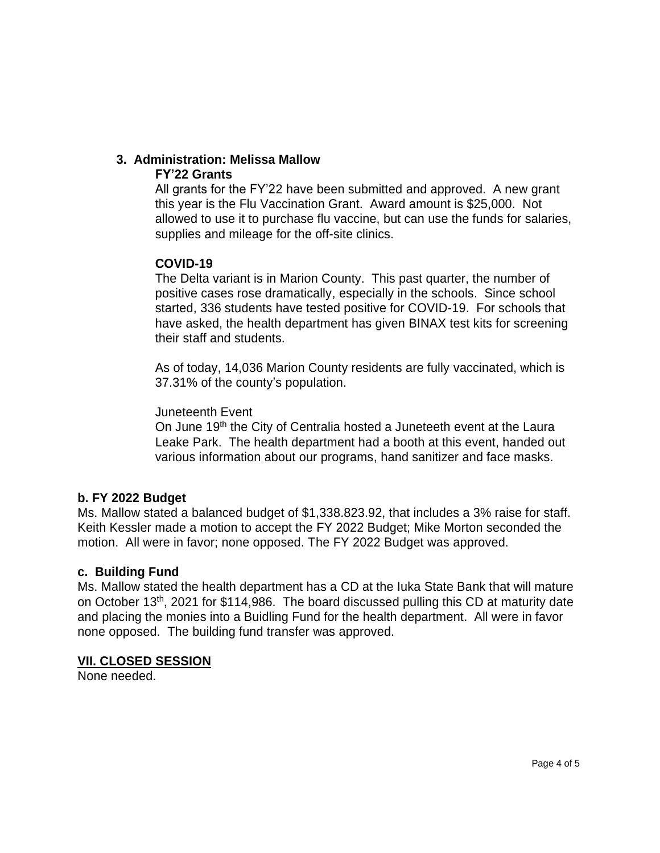#### **3. Administration: Melissa Mallow FY'22 Grants**

All grants for the FY'22 have been submitted and approved. A new grant this year is the Flu Vaccination Grant. Award amount is \$25,000. Not allowed to use it to purchase flu vaccine, but can use the funds for salaries, supplies and mileage for the off-site clinics.

# **COVID-19**

The Delta variant is in Marion County. This past quarter, the number of positive cases rose dramatically, especially in the schools. Since school started, 336 students have tested positive for COVID-19. For schools that have asked, the health department has given BINAX test kits for screening their staff and students.

As of today, 14,036 Marion County residents are fully vaccinated, which is 37.31% of the county's population.

## Juneteenth Event

On June 19<sup>th</sup> the City of Centralia hosted a Juneteeth event at the Laura Leake Park. The health department had a booth at this event, handed out various information about our programs, hand sanitizer and face masks.

# **b. FY 2022 Budget**

Ms. Mallow stated a balanced budget of \$1,338.823.92, that includes a 3% raise for staff. Keith Kessler made a motion to accept the FY 2022 Budget; Mike Morton seconded the motion. All were in favor; none opposed. The FY 2022 Budget was approved.

# **c. Building Fund**

Ms. Mallow stated the health department has a CD at the Iuka State Bank that will mature on October 13<sup>th</sup>, 2021 for \$114,986. The board discussed pulling this CD at maturity date and placing the monies into a Buidling Fund for the health department. All were in favor none opposed. The building fund transfer was approved.

# **VII. CLOSED SESSION**

None needed.